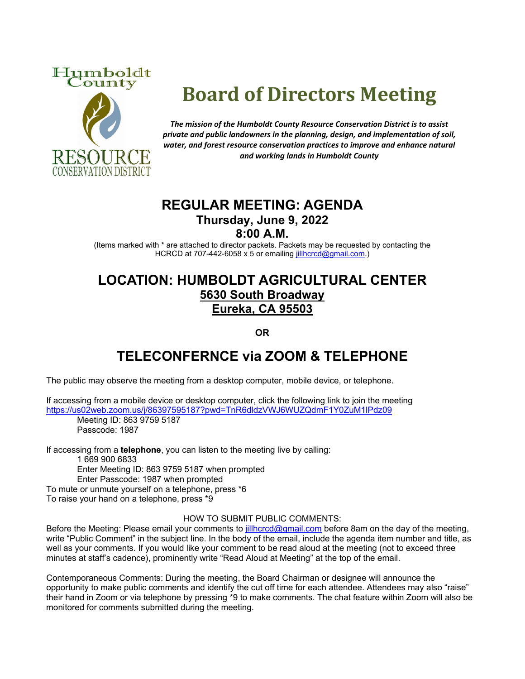



# **Board of Directors Meeting**

*The mission of the Humboldt County Resource Conservation District is to assist private and public landowners in the planning, design, and implementation of soil, water, and forest resource conservation practices to improve and enhance natural and working lands in Humboldt County*

### **REGULAR MEETING: AGENDA Thursday, June 9, 2022**

**8:00 A.M.**

(Items marked with \* are attached to director packets. Packets may be requested by contacting the HCRCD at 707-442-6058 x 5 or emailing [jillhcrcd@gmail.com.](mailto:jillhcrcd@gmail.com))

## **LOCATION: HUMBOLDT AGRICULTURAL CENTER 5630 South Broadway Eureka, CA 95503**

**OR**

## **TELECONFERNCE via ZOOM & TELEPHONE**

The public may observe the meeting from a desktop computer, mobile device, or telephone.

If accessing from a mobile device or desktop computer, click the following link to join the meeting <https://us02web.zoom.us/j/86397595187?pwd=TnR6dldzVWJ6WUZQdmF1Y0ZuM1lPdz09>

Meeting ID: 863 9759 5187 Passcode: 1987

If accessing from a **telephone**, you can listen to the meeting live by calling:

1 669 900 6833 Enter Meeting ID: 863 9759 5187 when prompted Enter Passcode: 1987 when prompted To mute or unmute yourself on a telephone, press \*6

To raise your hand on a telephone, press \*9

#### HOW TO SUBMIT PUBLIC COMMENTS:

Before the Meeting: Please email your comments to *jillhcrcd@gmail.com* before 8am on the day of the meeting, write "Public Comment" in the subject line. In the body of the email, include the agenda item number and title, as well as your comments. If you would like your comment to be read aloud at the meeting (not to exceed three minutes at staff's cadence), prominently write "Read Aloud at Meeting" at the top of the email.

Contemporaneous Comments: During the meeting, the Board Chairman or designee will announce the opportunity to make public comments and identify the cut off time for each attendee. Attendees may also "raise" their hand in Zoom or via telephone by pressing \*9 to make comments. The chat feature within Zoom will also be monitored for comments submitted during the meeting.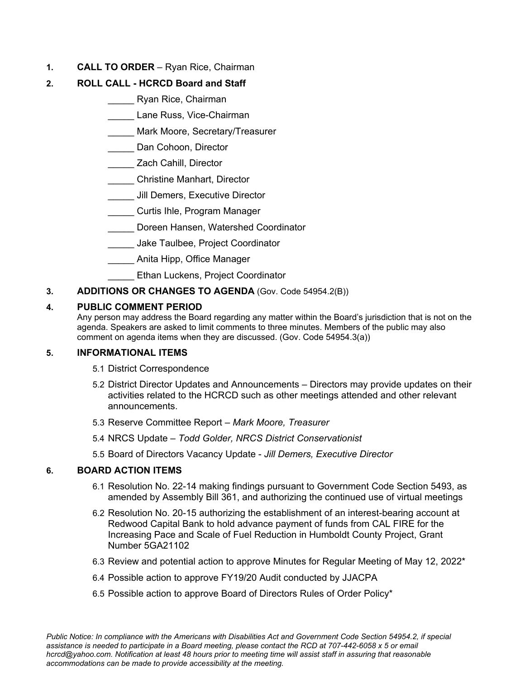**1. CALL TO ORDER** – Ryan Rice, Chairman

#### **2. ROLL CALL - HCRCD Board and Staff**

- \_\_\_\_\_ Ryan Rice, Chairman
- \_\_\_\_\_ Lane Russ, Vice-Chairman
- \_\_\_\_\_ Mark Moore, Secretary/Treasurer
- \_\_\_\_\_ Dan Cohoon, Director
- \_\_\_\_\_ Zach Cahill, Director
	- \_\_\_\_\_ Christine Manhart, Director
- **LECT** Jill Demers, Executive Director
- **Letter Curtis Ihle, Program Manager**
- \_\_\_\_\_ Doreen Hansen, Watershed Coordinator
- \_\_\_\_\_ Jake Taulbee, Project Coordinator
- \_\_\_\_\_ Anita Hipp, Office Manager
- **LEthan Luckens, Project Coordinator**
- **3. ADDITIONS OR CHANGES TO AGENDA** (Gov. Code 54954.2(B))

#### **4. PUBLIC COMMENT PERIOD**

Any person may address the Board regarding any matter within the Board's jurisdiction that is not on the agenda. Speakers are asked to limit comments to three minutes. Members of the public may also comment on agenda items when they are discussed. (Gov. Code 54954.3(a))

#### **5. INFORMATIONAL ITEMS**

- 5.1 District Correspondence
- 5.2 District Director Updates and Announcements Directors may provide updates on their activities related to the HCRCD such as other meetings attended and other relevant announcements.
- 5.3 Reserve Committee Report *Mark Moore, Treasurer*
- 5.4 NRCS Update  *Todd Golder, NRCS District Conservationist*
- 5.5 Board of Directors Vacancy Update *Jill Demers, Executive Director*

#### **6. BOARD ACTION ITEMS**

- 6.1 Resolution No. 22-14 making findings pursuant to Government Code Section 5493, as amended by Assembly Bill 361, and authorizing the continued use of virtual meetings
- 6.2 Resolution No. 20-15 authorizing the establishment of an interest-bearing account at Redwood Capital Bank to hold advance payment of funds from CAL FIRE for the Increasing Pace and Scale of Fuel Reduction in Humboldt County Project, Grant Number 5GA21102
- 6.3 Review and potential action to approve Minutes for Regular Meeting of May 12, 2022\*
- 6.4 Possible action to approve FY19/20 Audit conducted by JJACPA
- 6.5 Possible action to approve Board of Directors Rules of Order Policy\*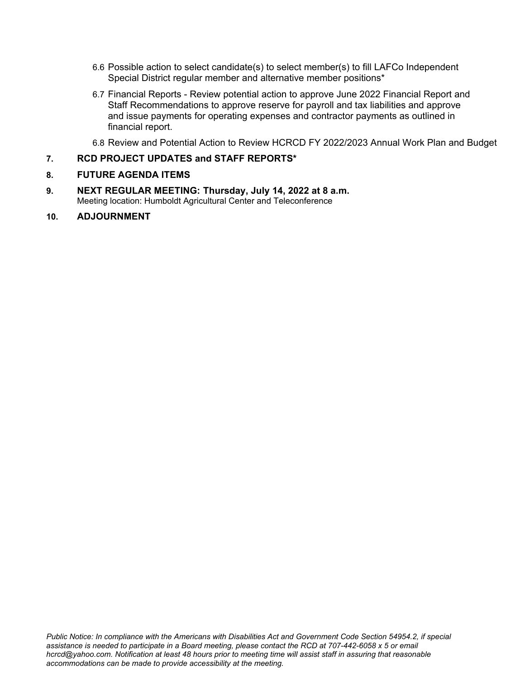- 6.6 Possible action to select candidate(s) to select member(s) to fill LAFCo Independent Special District regular member and alternative member positions\*
- 6.7 Financial Reports Review potential action to approve June 2022 Financial Report and Staff Recommendations to approve reserve for payroll and tax liabilities and approve and issue payments for operating expenses and contractor payments as outlined in financial report.

6.8 Review and Potential Action to Review HCRCD FY 2022/2023 Annual Work Plan and Budget

#### **7. RCD PROJECT UPDATES and STAFF REPORTS\***

#### **8. FUTURE AGENDA ITEMS**

- **9. NEXT REGULAR MEETING: Thursday, July 14, 2022 at 8 a.m.** Meeting location: Humboldt Agricultural Center and Teleconference
- **10. ADJOURNMENT**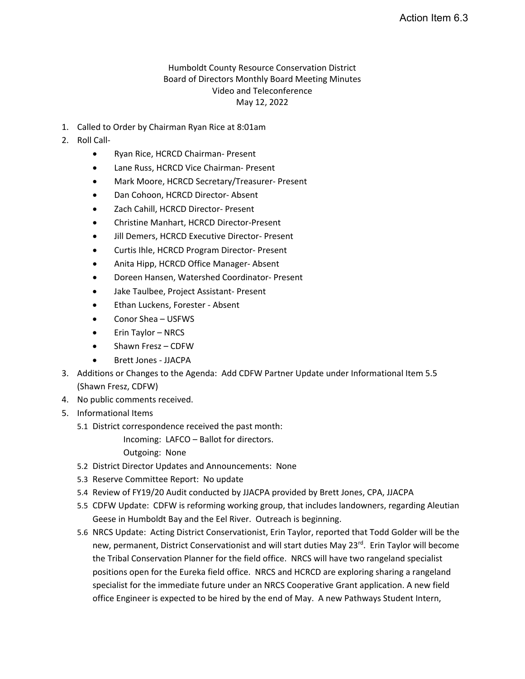#### Humboldt County Resource Conservation District Board of Directors Monthly Board Meeting Minutes Video and Teleconference May 12, 2022

- 1. Called to Order by Chairman Ryan Rice at 8:01am
- 2. Roll Call-
	- Ryan Rice, HCRCD Chairman- Present
	- Lane Russ, HCRCD Vice Chairman- Present
	- Mark Moore, HCRCD Secretary/Treasurer- Present
	- Dan Cohoon, HCRCD Director- Absent
	- Zach Cahill, HCRCD Director- Present
	- Christine Manhart, HCRCD Director-Present
	- Jill Demers, HCRCD Executive Director- Present
	- Curtis Ihle, HCRCD Program Director- Present
	- Anita Hipp, HCRCD Office Manager- Absent
	- Doreen Hansen, Watershed Coordinator- Present
	- Jake Taulbee, Project Assistant- Present
	- Ethan Luckens, Forester Absent
	- Conor Shea USFWS
	- Erin Taylor NRCS
	- Shawn Fresz CDFW
	- Brett Jones JJACPA
- 3. Additions or Changes to the Agenda: Add CDFW Partner Update under Informational Item 5.5 (Shawn Fresz, CDFW)
- 4. No public comments received.
- 5. Informational Items
	- 5.1 District correspondence received the past month:

Incoming: LAFCO – Ballot for directors.

Outgoing: None

- 5.2 District Director Updates and Announcements: None
- 5.3 Reserve Committee Report: No update
- 5.4 Review of FY19/20 Audit conducted by JJACPA provided by Brett Jones, CPA, JJACPA
- 5.5 CDFW Update: CDFW is reforming working group, that includes landowners, regarding Aleutian Geese in Humboldt Bay and the Eel River. Outreach is beginning.
- 5.6 NRCS Update: Acting District Conservationist, Erin Taylor, reported that Todd Golder will be the new, permanent, District Conservationist and will start duties May 23<sup>rd</sup>. Erin Taylor will become the Tribal Conservation Planner for the field office. NRCS will have two rangeland specialist positions open for the Eureka field office. NRCS and HCRCD are exploring sharing a rangeland specialist for the immediate future under an NRCS Cooperative Grant application. A new field office Engineer is expected to be hired by the end of May. A new Pathways Student Intern,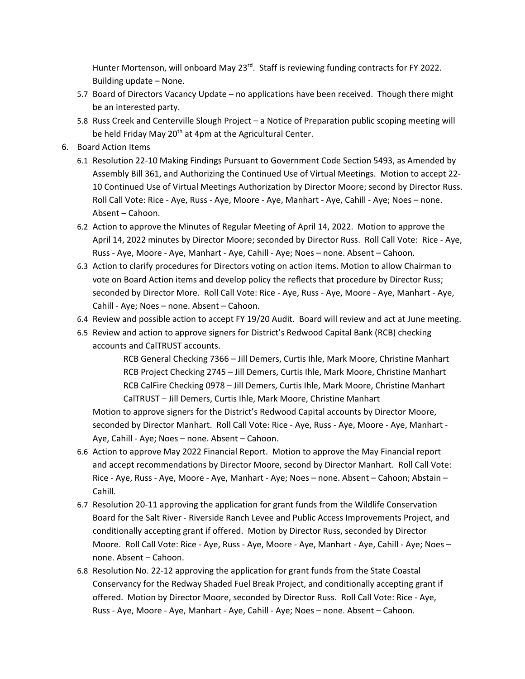Hunter Mortenson, will onboard May 23<sup>rd</sup>. Staff is reviewing funding contracts for FY 2022. Building update – None.

- 5.7 Board of Directors Vacancy Update no applications have been received. Though there might be an interested party.
- 5.8 Russ Creek and Centerville Slough Project a Notice of Preparation public scoping meeting will be held Friday May  $20<sup>th</sup>$  at 4pm at the Agricultural Center.
- 6. Board Action Items
	- 6.1 Resolution 22-10 Making Findings Pursuant to Government Code Section 5493, as Amended by Assembly Bill 361, and Authorizing the Continued Use of Virtual Meetings. Motion to accept 22- 10 Continued Use of Virtual Meetings Authorization by Director Moore; second by Director Russ. Roll Call Vote: Rice - Aye, Russ - Aye, Moore - Aye, Manhart - Aye, Cahill - Aye; Noes – none. Absent – Cahoon.
	- 6.2 Action to approve the Minutes of Regular Meeting of April 14, 2022. Motion to approve the April 14, 2022 minutes by Director Moore; seconded by Director Russ. Roll Call Vote: Rice - Aye, Russ - Aye, Moore - Aye, Manhart - Aye, Cahill - Aye; Noes – none. Absent – Cahoon.
	- 6.3 Action to clarify procedures for Directors voting on action items. Motion to allow Chairman to vote on Board Action items and develop policy the reflects that procedure by Director Russ; seconded by Director More. Roll Call Vote: Rice - Aye, Russ - Aye, Moore - Aye, Manhart - Aye, Cahill - Aye; Noes – none. Absent – Cahoon.
	- 6.4 Review and possible action to accept FY 19/20 Audit. Board will review and act at June meeting.
	- 6.5 Review and action to approve signers for District's Redwood Capital Bank (RCB) checking accounts and CalTRUST accounts.

RCB General Checking 7366 – Jill Demers, Curtis Ihle, Mark Moore, Christine Manhart RCB Project Checking 2745 – Jill Demers, Curtis Ihle, Mark Moore, Christine Manhart RCB CalFire Checking 0978 – Jill Demers, Curtis Ihle, Mark Moore, Christine Manhart CalTRUST – Jill Demers, Curtis Ihle, Mark Moore, Christine Manhart

Motion to approve signers for the District's Redwood Capital accounts by Director Moore, seconded by Director Manhart. Roll Call Vote: Rice - Aye, Russ - Aye, Moore - Aye, Manhart - Aye, Cahill - Aye; Noes – none. Absent – Cahoon.

- 6.6 Action to approve May 2022 Financial Report. Motion to approve the May Financial report and accept recommendations by Director Moore, second by Director Manhart. Roll Call Vote: Rice - Aye, Russ - Aye, Moore - Aye, Manhart - Aye; Noes – none. Absent – Cahoon; Abstain – Cahill.
- 6.7 Resolution 20-11 approving the application for grant funds from the Wildlife Conservation Board for the Salt River - Riverside Ranch Levee and Public Access Improvements Project, and conditionally accepting grant if offered. Motion by Director Russ, seconded by Director Moore. Roll Call Vote: Rice - Aye, Russ - Aye, Moore - Aye, Manhart - Aye, Cahill - Aye; Noes – none. Absent – Cahoon.
- 6.8 Resolution No. 22-12 approving the application for grant funds from the State Coastal Conservancy for the Redway Shaded Fuel Break Project, and conditionally accepting grant if offered. Motion by Director Moore, seconded by Director Russ. Roll Call Vote: Rice - Aye, Russ - Aye, Moore - Aye, Manhart - Aye, Cahill - Aye; Noes – none. Absent – Cahoon.